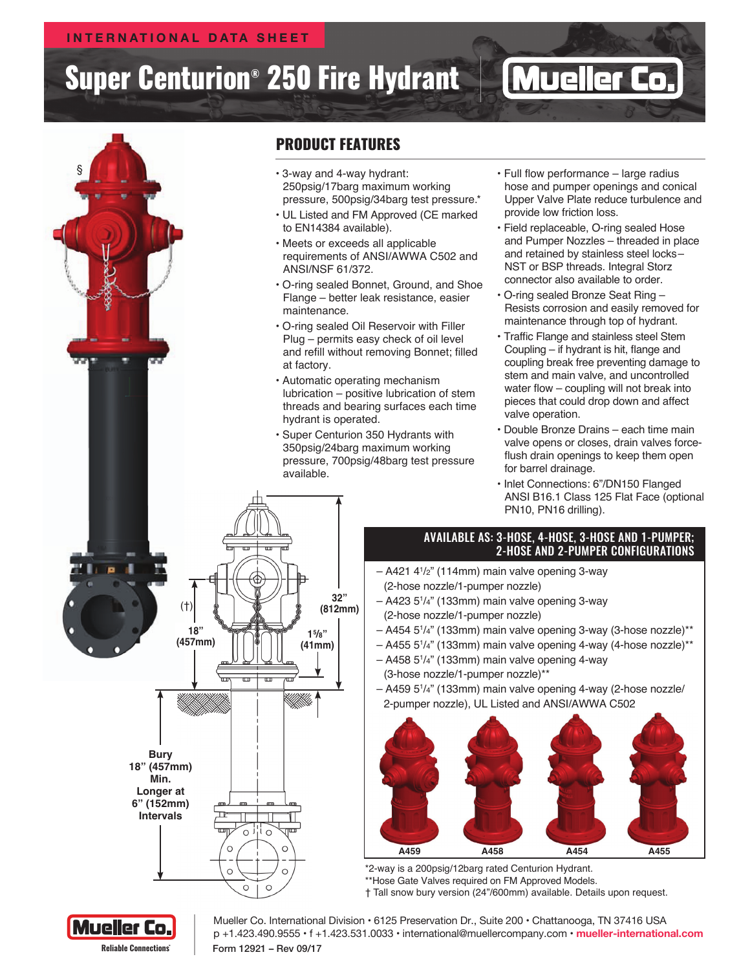### **Internat i onal Data Sheet**

# Super Centurion® 250 Fire Hydrant



## Product Features

- § 3-way and 4-way hydrant: 250psig/17barg maximum working pressure, 500psig/34barg test pressure.\*
- UL Listed and FM Approved (CE marked to EN14384 available).
- Meets or exceeds all applicable requirements of ANSI/AWWA C502 and ANSI/NSF 61/372.
- O-ring sealed Bonnet, Ground, and Shoe Flange – better leak resistance, easier maintenance.
- O-ring sealed Oil Reservoir with Filler Plug – permits easy check of oil level and refill without removing Bonnet; filled at factory.
- Automatic operating mechanism lubrication – positive lubrication of stem threads and bearing surfaces each time hydrant is operated.
- Super Centurion 350 Hydrants with 350psig/24barg maximum working pressure, 700psig/48barg test pressure available.

**32"** 

• Full flow performance – large radius hose and pumper openings and conical Upper Valve Plate reduce turbulence and provide low friction loss.

**Muel** 

**Reliable** 

**Reliable ConnectionsTM**

- Field replaceable, O-ring sealed Hose and Pumper Nozzles – threaded in place and retained by stainless steel locks– NST or BSP threads. Integral Storz connector also available to order.
- O-ring sealed Bronze Seat Ring Resists corrosion and easily removed for maintenance through top of hydrant.
- Traffic Flange and stainless steel Stem Coupling – if hydrant is hit, flange and coupling break free preventing damage to stem and main valve, and uncontrolled water flow – coupling will not break into pieces that could drop down and affect valve operation.
- Double Bronze Drains each time main valve opens or closes, drain valves forceflush drain openings to keep them open for barrel drainage.
- Inlet Connections: 6"/DN150 Flanged ANSI B16.1 Class 125 Flat Face (optional PN10, PN16 drilling).

#### Available as: 3-hose, 4-hose, 3-hose and 1-pumper; 2-hose and 2-pumper configurations

- A421 41 /2" (114mm) main valve opening 3-way (2-hose nozzle/1-pumper nozzle)
- A423 51 /4" (133mm) main valve opening 3-way (2-hose nozzle/1-pumper nozzle)
- A454 51 /4" (133mm) main valve opening 3-way (3-hose nozzle)\*\*
- A455 51 /4" (133mm) main valve opening 4-way (4-hose nozzle)\*\*
- A458 51 /4" (133mm) main valve opening 4-way (3-hose nozzle/1-pumper nozzle)\*\*
- A459 51 /4" (133mm) main valve opening 4-way (2-hose nozzle/ 2-pumper nozzle), UL Listed and ANSI/AWWA C502



\*2-way is a 200psig/12barg rated Centurion Hydrant. \*\*Hose Gate Valves required on FM Approved Models.

† Tall snow bury version (24"/600mm) available. Details upon request.



 $\circ$ 

Form 12921 – Rev 09/17 Mueller Co. International Division • 6125 Preservation Dr., Suite 200 • Chattanooga, TN 37416 USA p +1.423.490.9555 • f +1.423.531.0033 • international@muellercompany.com • **mueller-international.com**